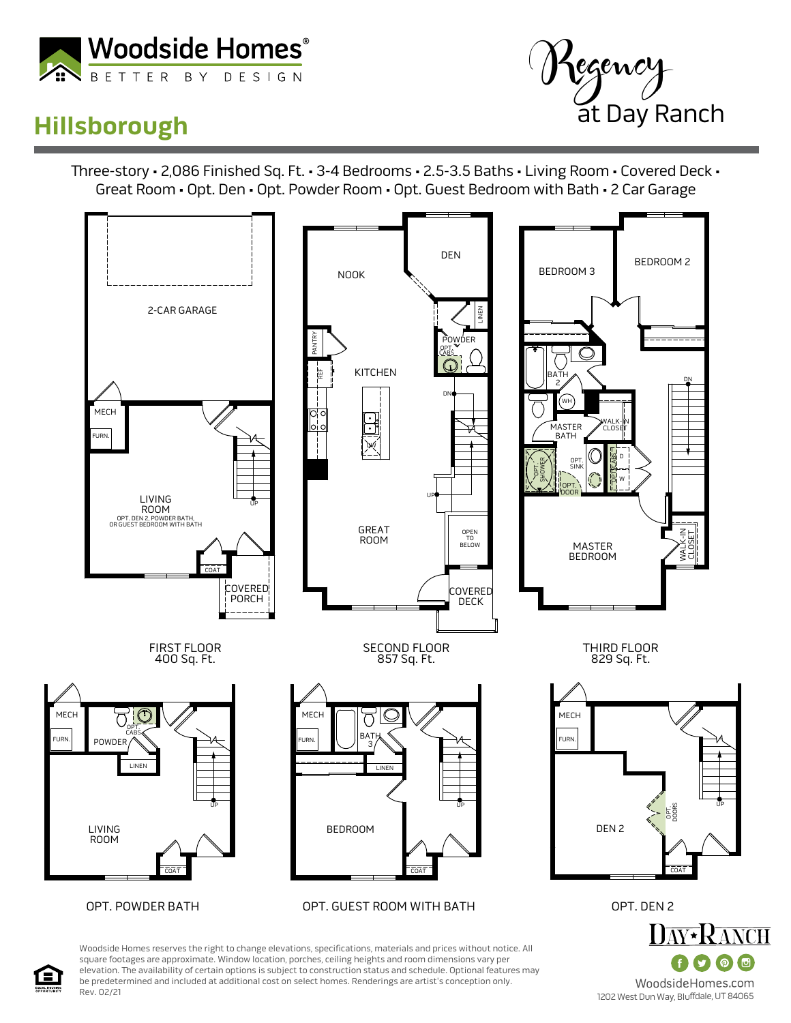

## **Hillsborough**



Three-story • 2,086 Finished Sq. Ft. • 3-4 Bedrooms • 2.5-3.5 Baths • Living Room • Covered Deck • Great Room • Opt. Den • Opt. Powder Room • Opt. Guest Bedroom with Bath • 2 Car Garage



Woodside Homes reserves the right to change elevations, specifications, materials and prices without notice. All square footages are approximate. Window location, porches, ceiling heights and room dimensions vary per elevation. The availability of certain options is subject to construction status and schedule. Optional features may be predetermined and included at additional cost on select homes. Renderings are artist's conception only. Rev. 02/21

(回 WoodsideHomes.com 1202 West Dun Way, Bluffdale, UT 84065